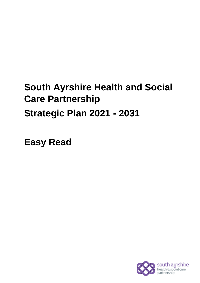# **South Ayrshire Health and Social Care Partnership Strategic Plan 2021 - 2031**

**Easy Read**

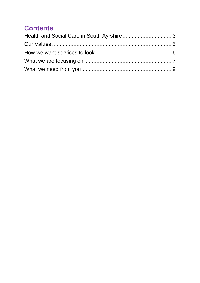## **Contents**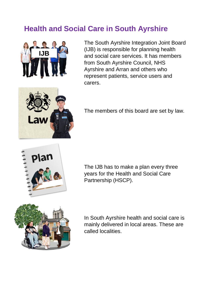## <span id="page-2-0"></span>**Health and Social Care in South Ayrshire**



The South Ayrshire Integration Joint Board (IJB) is responsible for planning health and social care services. It has members from South Ayrshire Council, NHS Ayrshire and Arran and others who represent patients, service users and carers.



The members of this board are set by law.



The IJB has to make a plan every three years for the Health and Social Care Partnership (HSCP).



In South Ayrshire health and social care is mainly delivered in local areas. These are called localities.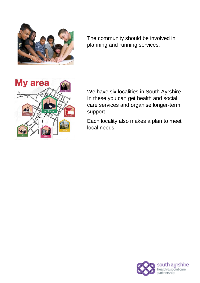

The community should be involved in planning and running services.



We have six localities in South Ayrshire. In these you can get health and social care services and organise longer-term support.

Each locality also makes a plan to meet local needs.

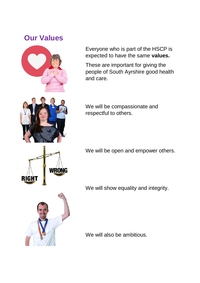### <span id="page-4-0"></span>**Our Values**



Everyone who is part of the HSCP is expected to have the same **values.**

These are important for giving the people of South Ayrshire good health and care.

We will be compassionate and respectful to others.

We will be open and empower others.

We will show equality and integrity.



**RIGHT** 

We will also be ambitious.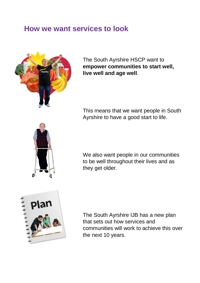#### <span id="page-5-0"></span>**How we want services to look**



The South Ayrshire HSCP want to **empower communities to start well, live well and age well**.

This means that we want people in South Ayrshire to have a good start to life.



We also want people in our communities to be well throughout their lives and as they get older.



The South Ayrshire IJB has a new plan that sets out how services and communities will work to achieve this over the next 10 years.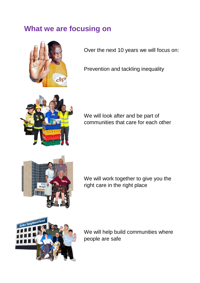## <span id="page-6-0"></span>**What we are focusing on**



Over the next 10 years we will focus on:

Prevention and tackling inequality



We will look after and be part of communities that care for each other



We will work together to give you the right care in the right place



We will help build communities where people are safe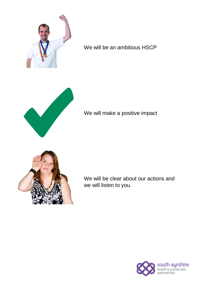

We will be an ambitious HSCP



We will make a positive impact



We will be clear about our actions and we will listen to you.

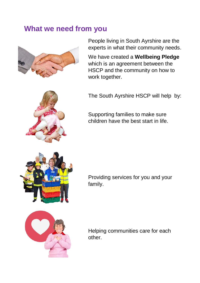#### <span id="page-8-0"></span>**What we need from you**



People living in South Ayrshire are the experts in what their community needs.

We have created a **Wellbeing Pledge** which is an agreement between the HSCP and the community on how to work together.

The South Ayrshire HSCP will help by:

Supporting families to make sure children have the best start in life.

Providing services for you and your family.



Helping communities care for each other.

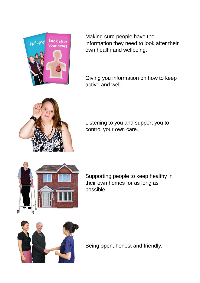

Making sure people have the information they need to look after their own health and wellbeing.

Giving you information on how to keep active and well.



Listening to you and support you to control your own care.



Supporting people to keep healthy in their own homes for as long as possible.



Being open, honest and friendly.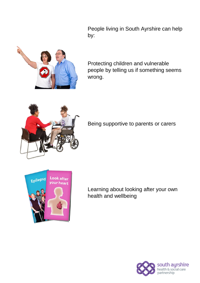People living in South Ayrshire can help by:



Protecting children and vulnerable people by telling us if something seems wrong.



Being supportive to parents or carers



Learning about looking after your own health and wellbeing